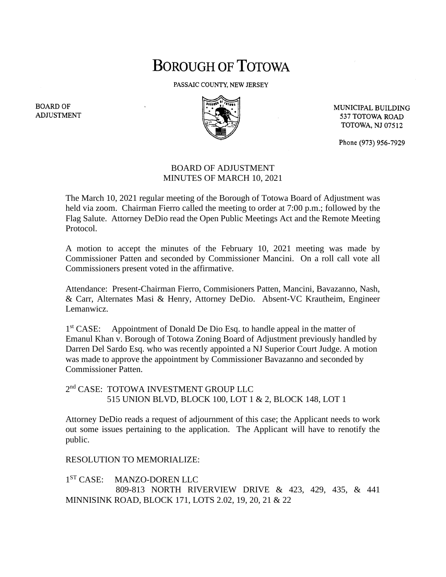## BOROUGH OF TOTOWA

PASSAIC COUNTY, NEW JERSEY



MUNICIPAL BUILDING 537 TOTOWA ROAD **TOTOWA, NJ 07512** 

Phone (973) 956-7929

## BOARD OF ADJUSTMENT MINUTES OF MARCH 10, 2021

The March 10, 2021 regular meeting of the Borough of Totowa Board of Adjustment was held via zoom. Chairman Fierro called the meeting to order at 7:00 p.m.; followed by the Flag Salute. Attorney DeDio read the Open Public Meetings Act and the Remote Meeting Protocol.

A motion to accept the minutes of the February 10, 2021 meeting was made by Commissioner Patten and seconded by Commissioner Mancini. On a roll call vote all Commissioners present voted in the affirmative.

Attendance: Present-Chairman Fierro, Commisioners Patten, Mancini, Bavazanno, Nash, & Carr, Alternates Masi & Henry, Attorney DeDio. Absent-VC Krautheim, Engineer Lemanwicz.

 $1<sup>st</sup> CASE:$ Appointment of Donald De Dio Esq. to handle appeal in the matter of Emanul Khan v. Borough of Totowa Zoning Board of Adjustment previously handled by Darren Del Sardo Esq. who was recently appointed a NJ Superior Court Judge. A motion was made to approve the appointment by Commissioner Bavazanno and seconded by Commissioner Patten.

2<sup>nd</sup> CASE: TOTOWA INVESTMENT GROUP LLC 515 UNION BLVD, BLOCK 100, LOT 1 & 2, BLOCK 148, LOT 1

Attorney DeDio reads a request of adjournment of this case; the Applicant needs to work out some issues pertaining to the application. The Applicant will have to renotify the public.

RESOLUTION TO MEMORIALIZE:

1<sup>ST</sup> CASE: MANZO-DOREN LLC 809-813 NORTH RIVERVIEW DRIVE & 423, 429, 435, & 441 MINNISINK ROAD, BLOCK 171, LOTS 2.02, 19, 20, 21 & 22

**BOARD OF ADJUSTMENT**